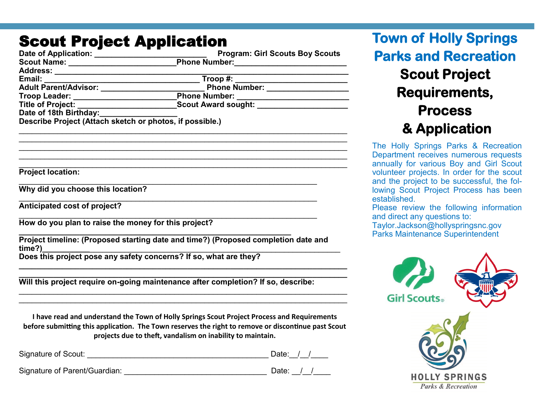## Scout Project Annlication

| Date of Application: <u>Charles Community Program: Girl Scouts Boy Scout:</u><br>Scout Name: _________________________________Phone Number:_______________________ | <b>Program: Girl Scouts Boy Scouts</b>                                                      |
|--------------------------------------------------------------------------------------------------------------------------------------------------------------------|---------------------------------------------------------------------------------------------|
|                                                                                                                                                                    |                                                                                             |
|                                                                                                                                                                    |                                                                                             |
| Email:                                                                                                                                                             |                                                                                             |
|                                                                                                                                                                    | Phone Number: ____________________                                                          |
|                                                                                                                                                                    |                                                                                             |
|                                                                                                                                                                    |                                                                                             |
| Date of 18th Birthday:                                                                                                                                             |                                                                                             |
| Describe Project (Attach sketch or photos, if possible.)                                                                                                           |                                                                                             |
|                                                                                                                                                                    |                                                                                             |
| <b>Project location:</b>                                                                                                                                           |                                                                                             |
| Why did you choose this location?                                                                                                                                  |                                                                                             |
| Anticipated cost of project?                                                                                                                                       |                                                                                             |
| How do you plan to raise the money for this project?                                                                                                               |                                                                                             |
|                                                                                                                                                                    | Project timeline: (Proposed starting date and time?) (Proposed completion date and          |
|                                                                                                                                                                    |                                                                                             |
| Will this project require on-going maintenance after completion? If so, describe:                                                                                  |                                                                                             |
| time?)<br>Does this project pose any safety concerns? If so, what are they?                                                                                        | I have read and understand the Town of Holly Springs Scout Project Process and Requirements |

**Town of Holly Springs Parks and Recreation Scout Project Requirements, Process & Application** 

The Holly Springs Parks & Recreation Department receives numerous requests annually for various Boy and Girl Scout volunteer projects. In order for the scout and the project to be successful, the following Scout Project Process has been established.

Please review the following information and direct any questions to:

Taylor.Jackson@hollyspringsnc.gov Parks Maintenance Superintendent



**before submitting this application. The Town reserves the right to remove or discontinue past Scout projects due to theft, vandalism on inability to maintain.**

| Signature of Scout: | Jate: |  |  |
|---------------------|-------|--|--|
|                     |       |  |  |

Signature of Parent/Guardian: example of Parent/Guardian: example of  $\Box$